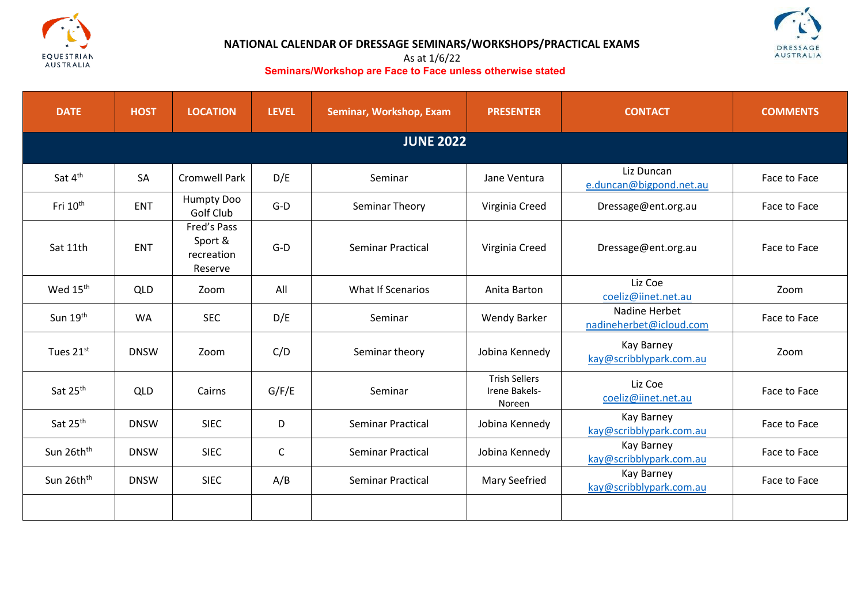



# **NATIONAL CALENDAR OF DRESSAGE SEMINARS/WORKSHOPS/PRACTICAL EXAMS**

#### As at 1/6/22 **Seminars/Workshop are Face to Face unless otherwise stated**

| <b>DATE</b>            | <b>HOST</b> | <b>LOCATION</b>                                 | <b>LEVEL</b> | Seminar, Workshop, Exam  | <b>PRESENTER</b>                                | <b>CONTACT</b>                           | <b>COMMENTS</b> |  |  |
|------------------------|-------------|-------------------------------------------------|--------------|--------------------------|-------------------------------------------------|------------------------------------------|-----------------|--|--|
| <b>JUNE 2022</b>       |             |                                                 |              |                          |                                                 |                                          |                 |  |  |
| Sat 4 <sup>th</sup>    | SA          | <b>Cromwell Park</b>                            | D/E          | Seminar                  | Jane Ventura                                    | Liz Duncan<br>e.duncan@bigpond.net.au    | Face to Face    |  |  |
| Fri 10 <sup>th</sup>   | <b>ENT</b>  | Humpty Doo<br>Golf Club                         | $G-D$        | Seminar Theory           | Virginia Creed                                  | Dressage@ent.org.au                      | Face to Face    |  |  |
| Sat 11th               | <b>ENT</b>  | Fred's Pass<br>Sport &<br>recreation<br>Reserve | $G-D$        | Seminar Practical        | Virginia Creed                                  | Dressage@ent.org.au                      | Face to Face    |  |  |
| Wed 15 <sup>th</sup>   | <b>QLD</b>  | Zoom                                            | All          | <b>What If Scenarios</b> | Anita Barton                                    | Liz Coe<br>coeliz@iinet.net.au           | Zoom            |  |  |
| Sun 19th               | <b>WA</b>   | <b>SEC</b>                                      | D/E          | Seminar                  | <b>Wendy Barker</b>                             | Nadine Herbet<br>nadineherbet@icloud.com | Face to Face    |  |  |
| Tues 21st              | <b>DNSW</b> | Zoom                                            | C/D          | Seminar theory           | Jobina Kennedy                                  | Kay Barney<br>kay@scribblypark.com.au    | Zoom            |  |  |
| Sat 25 <sup>th</sup>   | QLD         | Cairns                                          | G/F/E        | Seminar                  | <b>Trish Sellers</b><br>Irene Bakels-<br>Noreen | Liz Coe<br>coeliz@iinet.net.au           | Face to Face    |  |  |
| Sat 25 <sup>th</sup>   | <b>DNSW</b> | <b>SIEC</b>                                     | D            | Seminar Practical        | Jobina Kennedy                                  | Kay Barney<br>kay@scribblypark.com.au    | Face to Face    |  |  |
| Sun 26th <sup>th</sup> | <b>DNSW</b> | <b>SIEC</b>                                     | $\mathsf{C}$ | Seminar Practical        | Jobina Kennedy                                  | Kay Barney<br>kay@scribblypark.com.au    | Face to Face    |  |  |
| Sun 26th <sup>th</sup> | <b>DNSW</b> | <b>SIEC</b>                                     | A/B          | <b>Seminar Practical</b> | Mary Seefried                                   | Kay Barney<br>kay@scribblypark.com.au    | Face to Face    |  |  |
|                        |             |                                                 |              |                          |                                                 |                                          |                 |  |  |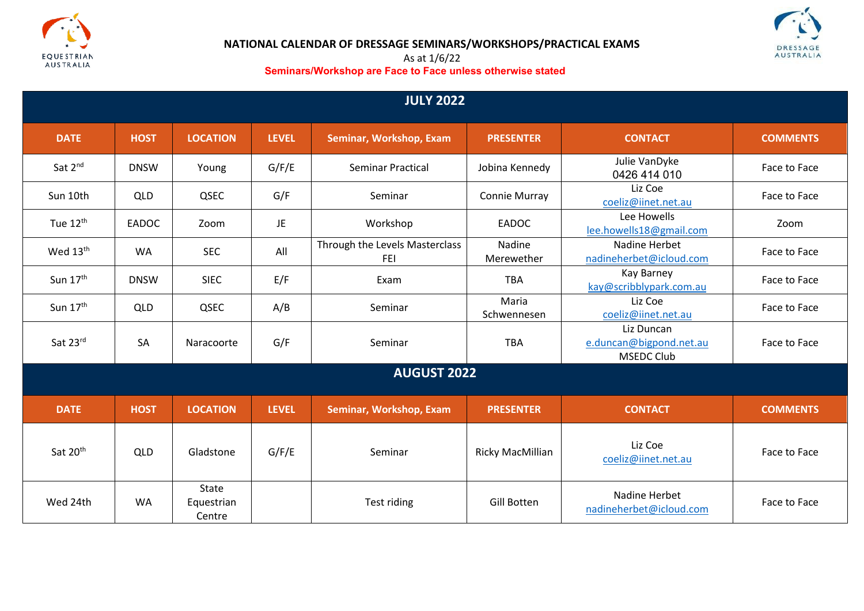



## **NATIONAL CALENDAR OF DRESSAGE SEMINARS/WORKSHOPS/PRACTICAL EXAMS**

#### As at 1/6/22 **Seminars/Workshop are Face to Face unless otherwise stated**

| <b>JULY 2022</b>     |             |                                      |              |                                              |                      |                                                            |                 |  |
|----------------------|-------------|--------------------------------------|--------------|----------------------------------------------|----------------------|------------------------------------------------------------|-----------------|--|
| <b>DATE</b>          | <b>HOST</b> | <b>LOCATION</b>                      | <b>LEVEL</b> | Seminar, Workshop, Exam                      | <b>PRESENTER</b>     | <b>CONTACT</b>                                             | <b>COMMENTS</b> |  |
| Sat 2 <sup>nd</sup>  | <b>DNSW</b> | Young                                | G/F/E        | Seminar Practical                            | Jobina Kennedy       | Julie VanDyke<br>0426 414 010                              | Face to Face    |  |
| Sun 10th             | <b>QLD</b>  | QSEC                                 | G/F          | Seminar                                      | Connie Murray        | Liz Coe<br>coeliz@iinet.net.au                             | Face to Face    |  |
| Tue 12 <sup>th</sup> | EADOC       | Zoom                                 | JE.          | Workshop                                     | EADOC                | Lee Howells<br>lee.howells18@gmail.com                     | Zoom            |  |
| Wed 13 <sup>th</sup> | <b>WA</b>   | <b>SEC</b>                           | All          | Through the Levels Masterclass<br><b>FEI</b> | Nadine<br>Merewether | Nadine Herbet<br>nadineherbet@icloud.com                   | Face to Face    |  |
| Sun 17 <sup>th</sup> | <b>DNSW</b> | <b>SIEC</b>                          | E/F          | Exam                                         | <b>TBA</b>           | Kay Barney<br>kay@scribblypark.com.au                      | Face to Face    |  |
| Sun 17th             | <b>QLD</b>  | QSEC                                 | A/B          | Seminar                                      | Maria<br>Schwennesen | Liz Coe<br>coeliz@iinet.net.au                             | Face to Face    |  |
| Sat 23rd             | SA          | Naracoorte                           | G/F          | Seminar                                      | <b>TBA</b>           | Liz Duncan<br>e.duncan@bigpond.net.au<br><b>MSEDC Club</b> | Face to Face    |  |
| <b>AUGUST 2022</b>   |             |                                      |              |                                              |                      |                                                            |                 |  |
| <b>DATE</b>          | <b>HOST</b> | <b>LOCATION</b>                      | <b>LEVEL</b> | Seminar, Workshop, Exam                      | <b>PRESENTER</b>     | <b>CONTACT</b>                                             | <b>COMMENTS</b> |  |
| Sat 20 <sup>th</sup> | <b>QLD</b>  | Gladstone                            | G/F/E        | Seminar                                      | Ricky MacMillian     | Liz Coe<br>coeliz@iinet.net.au                             | Face to Face    |  |
| Wed 24th             | <b>WA</b>   | <b>State</b><br>Equestrian<br>Centre |              | Test riding                                  | <b>Gill Botten</b>   | Nadine Herbet<br>nadineherbet@icloud.com                   | Face to Face    |  |